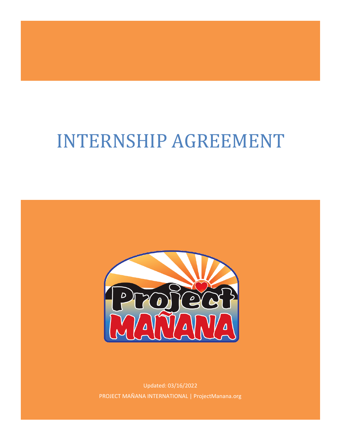# INTERNSHIP AGREEMENT



Updated: 03/16/2022 PROJECT MAÑANA INTERNATIONAL | ProjectManana.org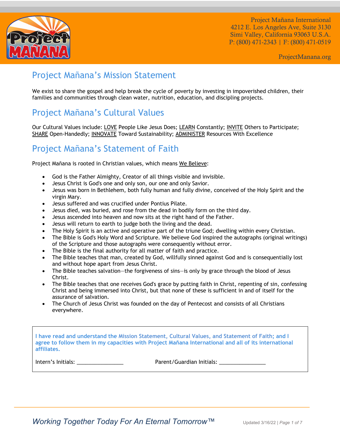

ProjectManana.org

## Project Mañana's Mission Statement

We exist to share the gospel and help break the cycle of poverty by investing in impoverished children, their families and communities through clean water, nutrition, education, and discipling projects.

# Project Mañana's Cultural Values

Our Cultural Values include: LOVE People Like Jesus Does; LEARN Constantly; INVITE Others to Participate; SHARE Open-Handedly; INNOVATE Toward Sustainability; ADMINISTER Resources With Excellence

## Project Mañana's Statement of Faith

Project Mañana is rooted in Christian values, which means We Believe:

- God is the Father Almighty, Creator of all things visible and invisible.
- Jesus Christ is God's one and only son, our one and only Savior.
- Jesus was born in Bethlehem, both fully human and fully divine, conceived of the Holy Spirit and the virgin Mary.
- Jesus suffered and was crucified under Pontius Pilate.
- Jesus died, was buried, and rose from the dead in bodily form on the third day.
- Jesus ascended into heaven and now sits at the right hand of the Father.
- Jesus will return to earth to judge both the living and the dead.
- The Holy Spirit is an active and operative part of the triune God; dwelling within every Christian.
- The Bible is God's Holy Word and Scripture. We believe God inspired the autographs (original writings) of the Scripture and those autographs were consequently without error.
- The Bible is the final authority for all matter of faith and practice.
- The Bible teaches that man, created by God, willfully sinned against God and is consequentially lost and without hope apart from Jesus Christ.
- The Bible teaches salvation—the forgiveness of sins—is only by grace through the blood of Jesus Christ.
- The Bible teaches that one receives God's grace by putting faith in Christ, repenting of sin, confessing Christ and being immersed into Christ, but that none of these is sufficient in and of itself for the assurance of salvation.
- The Church of Jesus Christ was founded on the day of Pentecost and consists of all Christians everywhere.

**I have read and understand the Mission Statement, Cultural Values, and Statement of Faith; and I agree to follow them in my capacities with Project Mañana International and all of its international affiliates.** 

Intern's Initials: \_\_\_\_\_\_\_\_\_\_\_\_\_\_\_\_ Parent/Guardian Initials: \_\_\_\_\_\_\_\_\_\_\_\_\_\_\_\_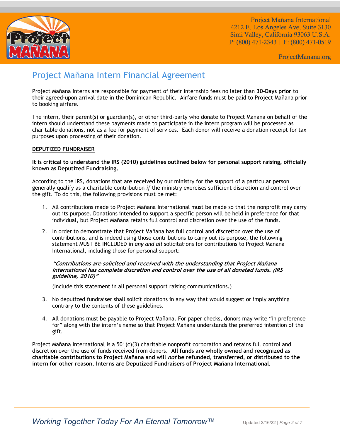

ProjectManana.org

## Project Mañana Intern Financial Agreement

Project Mañana Interns are responsible for payment of their internship fees no later than **30-Days prior** to their agreed-upon arrival date in the Dominican Republic. Airfare funds must be paid to Project Mañana prior to booking airfare.

The intern, their parent(s) or guardian(s), or other third-party who donate to Project Mañana on behalf of the intern should understand these payments made to participate in the intern program will be processed as charitable donations, not as a fee for payment of services. Each donor will receive a donation receipt for tax purposes upon processing of their donation.

#### **DEPUTIZED FUNDRAISER**

#### **It is critical to understand the IRS (2010) guidelines outlined below for personal support raising, officially known as Deputized Fundraising.**

According to the IRS, donations that are received by our ministry for the support of a particular person generally qualify as a charitable contribution *if* the ministry exercises sufficient discretion and control over the gift. To do this, the following provisions must be met:

- 1. All contributions made to Project Mañana International must be made so that the nonprofit may carry out its purpose. Donations intended to support a specific person will be held in preference for that individual, but Project Mañana retains full control and discretion over the use of the funds.
- 2. In order to demonstrate that Project Mañana has full control and discretion over the use of contributions, and is indeed using those contributions to carry out its purpose, the following statement MUST BE INCLUDED in *any and all* solicitations for contributions to Project Mañana International, including those for personal support:

#### **"Contributions are solicited and received with the understanding that Project Mañana International has complete discretion and control over the use of all donated funds. (IRS guideline, 2010)"**

(Include this statement in all personal support raising communications.)

- 3. No deputized fundraiser shall solicit donations in any way that would suggest or imply anything contrary to the contents of these guidelines.
- 4. All donations must be payable to Project Mañana. For paper checks, donors may write "in preference for" along with the intern's name so that Project Mañana understands the preferred intention of the gift.

Project Mañana International is a 501(c)(3) charitable nonprofit corporation and retains full control and discretion over the use of funds received from donors. **All funds are wholly owned and recognized as charitable contributions to Project Mañana and will not be refunded, transferred, or distributed to the intern for other reason. Interns are Deputized Fundraisers of Project Mañana International.**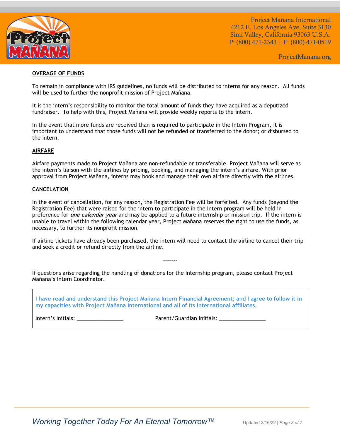

ProjectManana.org

#### **OVERAGE OF FUNDS**

To remain in compliance with IRS guidelines, no funds will be distributed to interns for any reason. All funds will be used to further the nonprofit mission of Project Mañana.

It is the intern's responsibility to monitor the total amount of funds they have acquired as a deputized fundraiser. To help with this, Project Mañana will provide weekly reports to the intern.

In the event that more funds are received than is required to participate in the Intern Program, it is important to understand that those funds will not be refunded or transferred to the donor; or disbursed to the intern.

#### **AIRFARE**

Airfare payments made to Project Mañana are non-refundable or transferable. Project Mañana will serve as the intern's liaison with the airlines by pricing, booking, and managing the intern's airfare. With prior approval from Project Mañana, interns may book and manage their own airfare directly with the airlines.

#### **CANCELATION**

In the event of cancellation, for any reason, the Registration Fee will be forfeited. Any funds (beyond the Registration Fee) that were raised for the intern to participate in the Intern program will be held in preference for **one calendar year** and may be applied to a future internship or mission trip. If the intern is unable to travel within the following calendar year, Project Mañana reserves the right to use the funds, as necessary, to further its nonprofit mission.

If airline tickets have already been purchased, the intern will need to contact the airline to cancel their trip and seek a credit or refund directly from the airline.

-------

If questions arise regarding the handling of donations for the Internship program, please contact Project Mañana's Intern Coordinator.

**I have read and understand this Project Mañana Intern Financial Agreement; and I agree to follow it in my capacities with Project Mañana International and all of its international affiliates.** 

Intern's Initials: \_\_\_\_\_\_\_\_\_\_\_\_\_\_\_\_ Parent/Guardian Initials: \_\_\_\_\_\_\_\_\_\_\_\_\_\_\_\_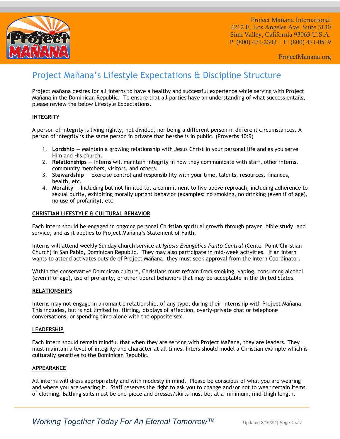

ProjectManana.org

## Project Mañana's Lifestyle Expectations & Discipline Structure

Project Mañana desires for all interns to have a healthy and successful experience while serving with Project Mañana in the Dominican Republic. To ensure that all parties have an understanding of what success entails, please review the below Lifestyle Expectations.

#### **INTEGRITY**

A person of integrity is living rightly, not divided, nor being a different person in different circumstances. A person of integrity is the same person in private that he/she is in public. (Proverbs 10:9)

- 1. **Lordship** Maintain a growing relationship with Jesus Christ in your personal life and as you serve Him and His church.
- 2. **Relationships** Interns will maintain integrity in how they communicate with staff, other interns, community members, visitors, and others.
- 3. **Stewardship** Exercise control and responsibility with your time, talents, resources, finances, health, etc.
- 4. **Morality** Including but not limited to, a commitment to live above reproach, including adherence to sexual purity, exhibiting morally upright behavior (examples: no smoking, no drinking (even if of age), no use of profanity), etc.

#### **CHRISTIAN LIFESTYLE & CULTURAL BEHAVIOR**

Each intern should be engaged in ongoing personal Christian spiritual growth through prayer, bible study, and service, and as it applies to Project Mañana's Statement of Faith.

Interns will attend weekly Sunday church service at *Iglesia Evangélica Punto Central* (Center Point Christian Church) in San Pablo, Dominican Republic. They may also participate in mid-week activities. If an intern wants to attend activates outside of Project Mañana, they must seek approval from the Intern Coordinator.

Within the conservative Dominican culture, Christians must refrain from smoking, vaping, consuming alcohol (even if of age), use of profanity, or other liberal behaviors that may be acceptable in the United States.

#### **RELATIONSHIPS**

Interns may not engage in a romantic relationship, of any type, during their internship with Project Mañana. This includes, but is not limited to, flirting, displays of affection, overly-private chat or telephone conversations, or spending time alone with the opposite sex.

#### **LEADERSHIP**

Each intern should remain mindful that when they are serving with Project Mañana, they are leaders. They must maintain a level of integrity and character at all times. Inters should model a Christian example which is culturally sensitive to the Dominican Republic.

#### **APPEARANCE**

All interns will dress appropriately and with modesty in mind. Please be conscious of what you are wearing and where you are wearing it. Staff reserves the right to ask you to change and/or not to wear certain items of clothing. Bathing suits must be one-piece and dresses/skirts must be, at a minimum, mid-thigh length.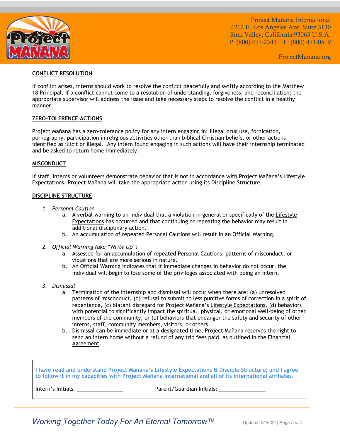

ProjectManana.org

#### **CONFLICT RESOLUTION**

If conflict arises, interns should work to resolve the conflict peacefully and swiftly according to the Matthew 18 Principal. If a conflict cannot come to a resolution of understanding, forgiveness, and reconciliation: the appropriate supervisor will address the issue and take necessary steps to resolve the conflict in a healthy manner.

#### **ZERO-TOLERENCE ACTIONS**

Project Mañana has a zero-tolerance policy for any intern engaging in: illegal drug use, fornication, pornography, participation in religious activities other than biblical Christian beliefs, or other actions identified as illicit or illegal. Any intern found engaging in such actions will have their internship terminated and be asked to return home immediately.

#### **MISCONDUCT**

If staff, interns or volunteers demonstrate behavior that is not in accordance with Project Mañana's Lifestyle Expectations, Project Mañana will take the appropriate action using its Discipline Structure.

#### **DISCIPLINE STRUCTURE**

- *1. Personal Caution*
	- a. A verbal warning to an individual that a violation in general or specifically of the Lifestyle Expectations has occurred and that continuing or repeating the behavior may result in additional disciplinary action.
	- b. An accumulation of repeated Personal Cautions will result in an Official Warning.
- *2. Official Warning (aka "Write Up")*
	- a. Assessed for an accumulation of repeated Personal Cautions, patterns of misconduct, or violations that are more serious in nature.
	- b. An Official Warning indicates that if immediate changes in behavior do not occur, the individual will begin to lose some of the privileges associated with being an intern.
- *3. Dismissal*
	- a. Termination of the internship and dismissal will occur when there are: (a) unresolved patterns of misconduct, (b) refusal to submit to less punitive forms of correction in a spirit of repentance, (c) blatant disregard for Project Mañana's Lifestyle Expectations, (d) behaviors with potential to significantly impact the spiritual, physical, or emotional well-being of other members of the community, or (e) behaviors that endanger the safety and security of other interns, staff, community members, visitors, or others.
	- b. Dismissal can be immediate or at a designated time; Project Mañana reserves the right to send an intern home without a refund of any trip fees paid, as outlined in the Financial Agreement.

**I have read and understand Project Mañana's Lifestyle Expectations & Disciple Structure; and I agree to follow it in my capacities with Project Mañana International and all of its international affiliates.** 

Intern's Initials: \_\_\_\_\_\_\_\_\_\_\_\_\_\_\_\_ Parent/Guardian Initials: \_\_\_\_\_\_\_\_\_\_\_\_\_\_\_\_

*Working Together Today For An Eternal Tomorrow™* Updated 3/16/22 | Page 5 of 7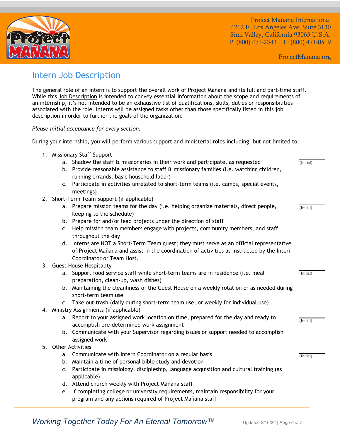

ProjectManana.org

(Initial)

(Initial)

(Initial)

(Initial)

(Initial)

## Intern Job Description

The general role of an intern is to support the overall work of Project Mañana and its full and part-time staff. While this Job Description is intended to convey essential information about the scope and requirements of an internship, it's not intended to be an exhaustive list of qualifications, skills, duties or responsibilities associated with the role. Interns will be assigned tasks other than those specifically listed in this job description in order to further the goals of the organization.

*Please initial acceptance for every section.*

During your internship, you will perform various support and ministerial roles including, but not limited to:

- 1. Missionary Staff Support
	- a. Shadow the staff & missionaries in their work and participate, as requested
	- b. Provide reasonable assistance to staff & missionary families (i.e. watching children, running errands, basic household labor)
	- c. Participate in activities unrelated to short-term teams (i.e. camps, special events, meetings)
- 2. Short-Term Team Support (if applicable)
	- a. Prepare mission teams for the day (i.e. helping organize materials, direct people, keeping to the schedule)
	- b. Prepare for and/or lead projects under the direction of staff
	- c. Help mission team members engage with projects, community members, and staff throughout the day
	- d. Interns are NOT a Short-Term Team guest; they must serve as an official representative of Project Mañana and assist in the coordination of activities as instructed by the Intern Coordinator or Team Host.
- 3. Guest House Hospitality
	- a. Support food service staff while short-term teams are in residence (i.e. meal preparation, clean-up, wash dishes)
	- b. Maintaining the cleanliness of the Guest House on a weekly rotation or as needed during short-term team use
	- c. Take out trash (daily during short-term team use; or weekly for individual use)
- 4. Ministry Assignments (if applicable)
	- a. Report to your assigned work location on time, prepared for the day and ready to accomplish pre-determined work assignment
	- b. Communicate with your Supervisor regarding issues or support needed to accomplish assigned work
- 5. Other Activities
	- a. Communicate with Intern Coordinator on a regular basis
	- b. Maintain a time of personal bible study and devotion
	- c. Participate in missiology, discipleship, language acquisition and cultural training (as applicable)
	- d. Attend church weekly with Project Mañana staff
	- e. If completing college or university requirements, maintain responsibility for your program and any actions required of Project Mañana staff

*Working Together Today For An Eternal Tomorrow™* Updated 3/16/22 | Page 6 of 7